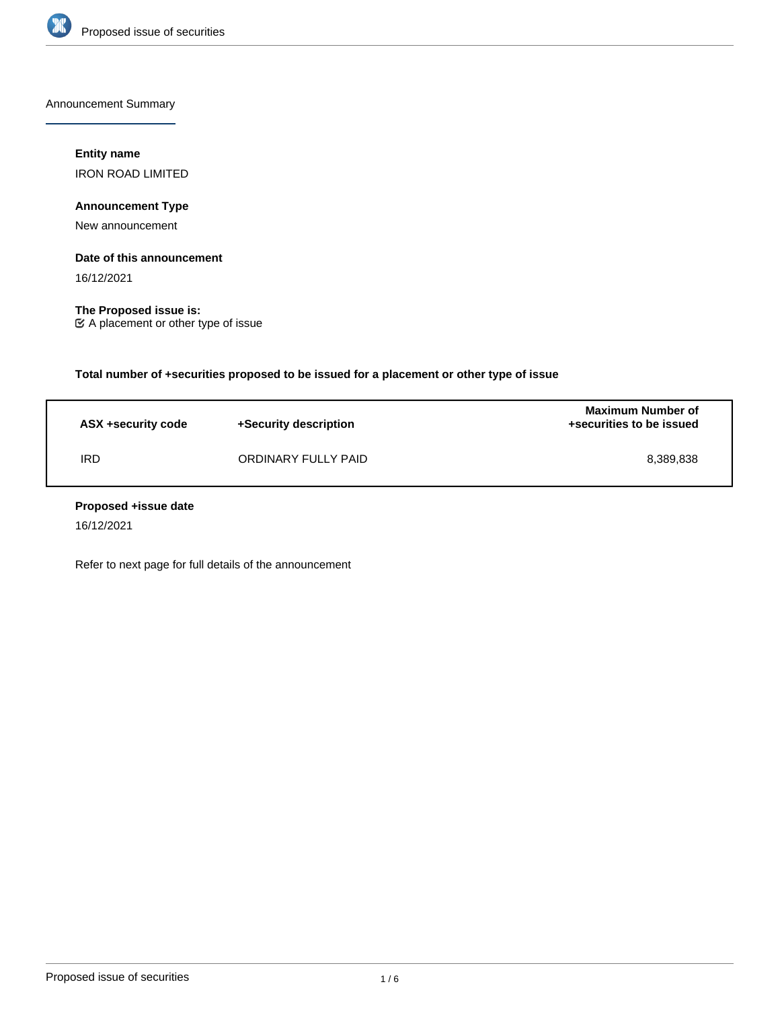

Announcement Summary

# **Entity name**

IRON ROAD LIMITED

# **Announcement Type**

New announcement

# **Date of this announcement**

16/12/2021

**The Proposed issue is:** A placement or other type of issue

**Total number of +securities proposed to be issued for a placement or other type of issue**

| ASX +security code | +Security description | <b>Maximum Number of</b><br>+securities to be issued |
|--------------------|-----------------------|------------------------------------------------------|
| IRD                | ORDINARY FULLY PAID   | 8.389.838                                            |

## **Proposed +issue date**

16/12/2021

Refer to next page for full details of the announcement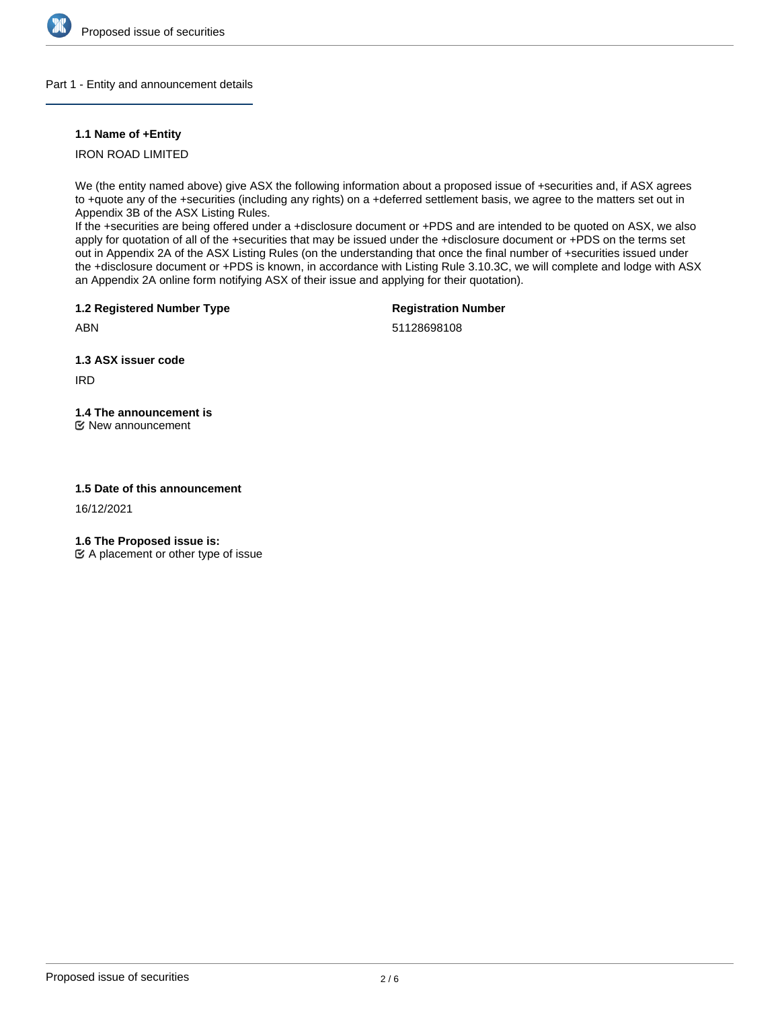

## Part 1 - Entity and announcement details

# **1.1 Name of +Entity**

# IRON ROAD LIMITED

We (the entity named above) give ASX the following information about a proposed issue of +securities and, if ASX agrees to +quote any of the +securities (including any rights) on a +deferred settlement basis, we agree to the matters set out in Appendix 3B of the ASX Listing Rules.

If the +securities are being offered under a +disclosure document or +PDS and are intended to be quoted on ASX, we also apply for quotation of all of the +securities that may be issued under the +disclosure document or +PDS on the terms set out in Appendix 2A of the ASX Listing Rules (on the understanding that once the final number of +securities issued under the +disclosure document or +PDS is known, in accordance with Listing Rule 3.10.3C, we will complete and lodge with ASX an Appendix 2A online form notifying ASX of their issue and applying for their quotation).

**1.2 Registered Number Type**

**Registration Number**

ABN

51128698108

**1.3 ASX issuer code**

IRD

# **1.4 The announcement is**

New announcement

# **1.5 Date of this announcement**

16/12/2021

**1.6 The Proposed issue is:**

 $\mathfrak{C}$  A placement or other type of issue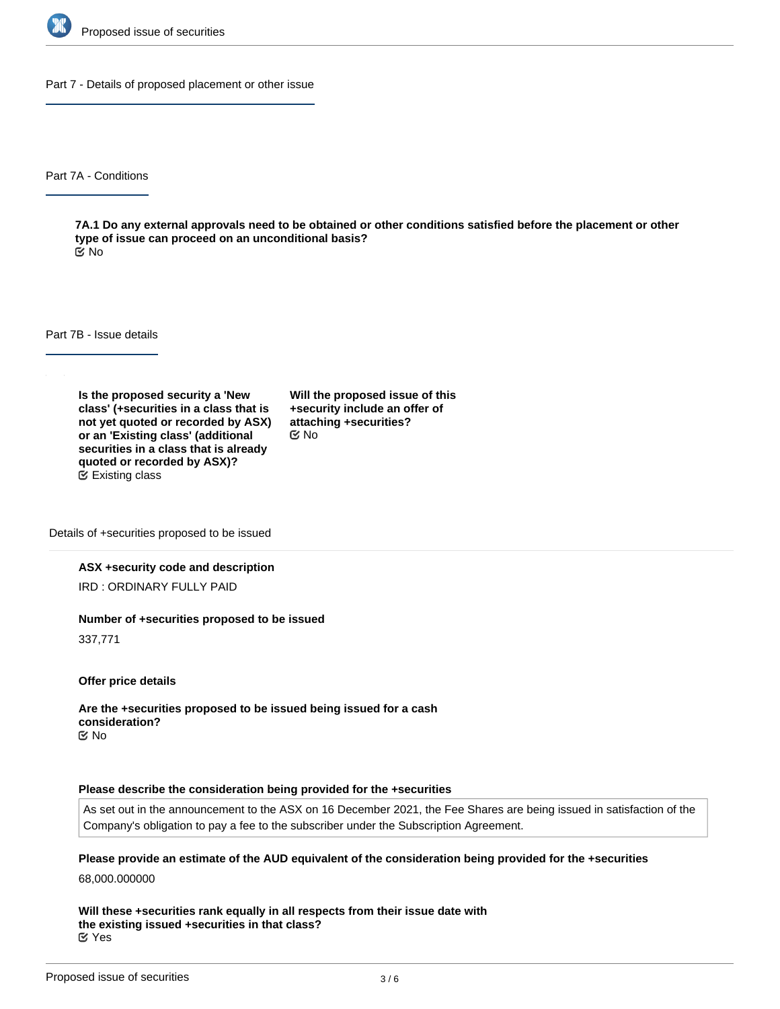

Part 7 - Details of proposed placement or other issue

Part 7A - Conditions

**7A.1 Do any external approvals need to be obtained or other conditions satisfied before the placement or other type of issue can proceed on an unconditional basis?** No

Part 7B - Issue details

**Is the proposed security a 'New class' (+securities in a class that is not yet quoted or recorded by ASX) or an 'Existing class' (additional securities in a class that is already quoted or recorded by ASX)?** Existing class

**Will the proposed issue of this +security include an offer of attaching +securities?** No

Details of +securities proposed to be issued

#### **ASX +security code and description**

IRD : ORDINARY FULLY PAID

#### **Number of +securities proposed to be issued**

337,771

**Offer price details**

**Are the +securities proposed to be issued being issued for a cash consideration?** No

#### **Please describe the consideration being provided for the +securities**

As set out in the announcement to the ASX on 16 December 2021, the Fee Shares are being issued in satisfaction of the Company's obligation to pay a fee to the subscriber under the Subscription Agreement.

#### **Please provide an estimate of the AUD equivalent of the consideration being provided for the +securities**

68,000.000000

**Will these +securities rank equally in all respects from their issue date with the existing issued +securities in that class?** Yes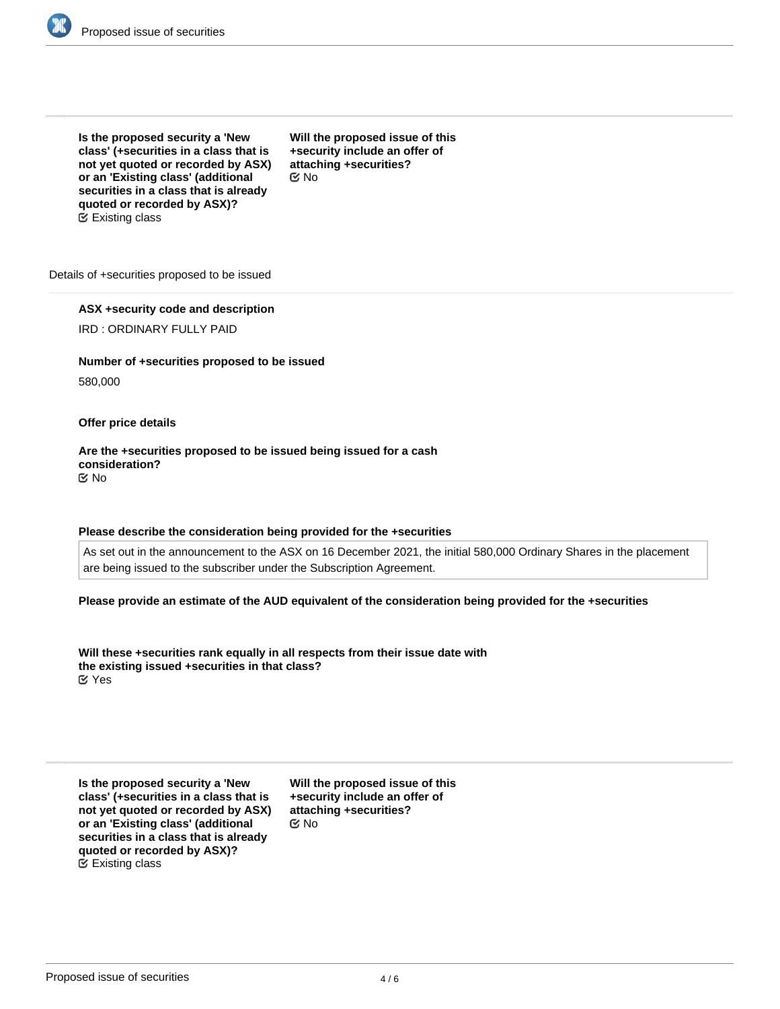

**Is the proposed security a 'New class' (+securities in a class that is not yet quoted or recorded by ASX) or an 'Existing class' (additional securities in a class that is already quoted or recorded by ASX)?** Existing class

**Will the proposed issue of this +security include an offer of attaching +securities?** No

Details of +securities proposed to be issued

## **ASX +security code and description**

IRD : ORDINARY FULLY PAID

**Number of +securities proposed to be issued**

580,000

#### **Offer price details**

**Are the +securities proposed to be issued being issued for a cash consideration?** No

#### **Please describe the consideration being provided for the +securities**

As set out in the announcement to the ASX on 16 December 2021, the initial 580,000 Ordinary Shares in the placement are being issued to the subscriber under the Subscription Agreement.

**Please provide an estimate of the AUD equivalent of the consideration being provided for the +securities**

**Will these +securities rank equally in all respects from their issue date with the existing issued +securities in that class?** Yes

**Is the proposed security a 'New class' (+securities in a class that is not yet quoted or recorded by ASX) or an 'Existing class' (additional securities in a class that is already quoted or recorded by ASX)?** Existing class

**Will the proposed issue of this +security include an offer of attaching +securities?** No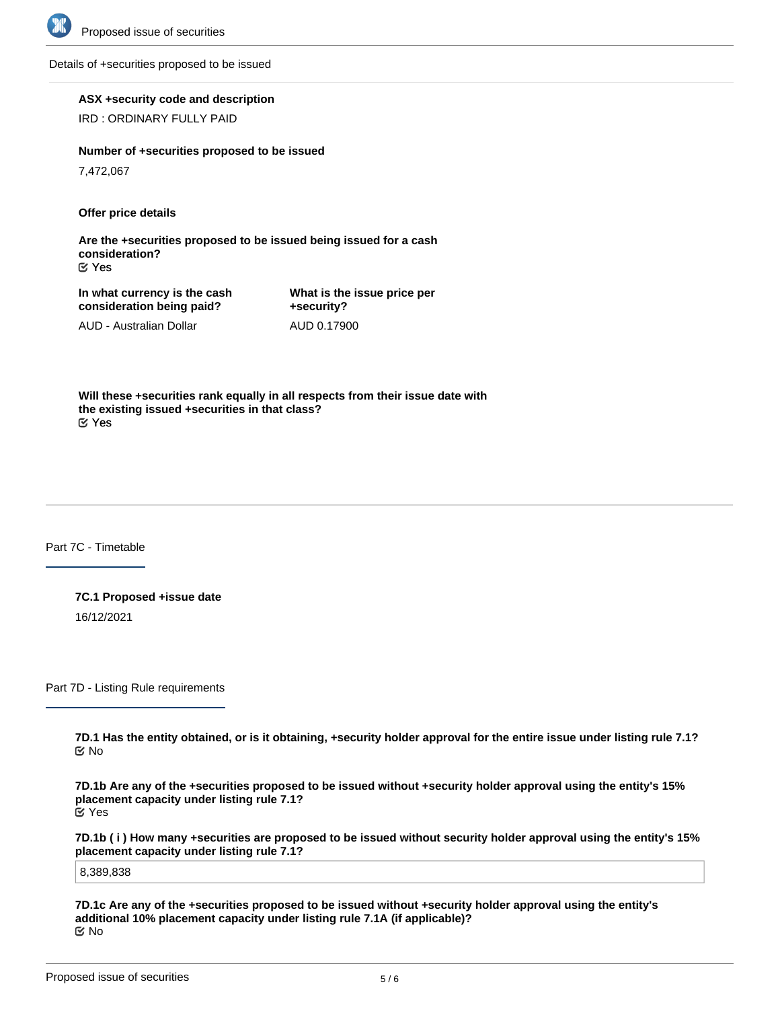

Details of +securities proposed to be issued

**ASX +security code and description**

IRD : ORDINARY FULLY PAID

**Number of +securities proposed to be issued**

7,472,067

**Offer price details**

**Are the +securities proposed to be issued being issued for a cash consideration?** Yes

**In what currency is the cash consideration being paid?**

AUD - Australian Dollar

**What is the issue price per +security?** AUD 0.17900

**Will these +securities rank equally in all respects from their issue date with the existing issued +securities in that class?** Yes

Part 7C - Timetable

**7C.1 Proposed +issue date** 16/12/2021

Part 7D - Listing Rule requirements

**7D.1 Has the entity obtained, or is it obtaining, +security holder approval for the entire issue under listing rule 7.1?** No

**7D.1b Are any of the +securities proposed to be issued without +security holder approval using the entity's 15% placement capacity under listing rule 7.1?** Yes

**7D.1b ( i ) How many +securities are proposed to be issued without security holder approval using the entity's 15% placement capacity under listing rule 7.1?**

8,389,838

**7D.1c Are any of the +securities proposed to be issued without +security holder approval using the entity's additional 10% placement capacity under listing rule 7.1A (if applicable)?** No